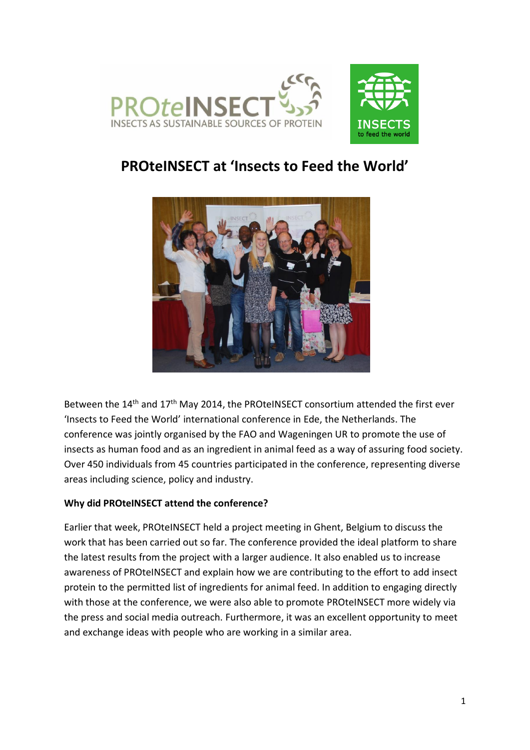



# **PROteINSECT at 'Insects to Feed the World'**



Between the 14<sup>th</sup> and 17<sup>th</sup> May 2014, the PROteINSECT consortium attended the first ever 'Insects to Feed the World' international conference in Ede, the Netherlands. The conference was jointly organised by the FAO and Wageningen UR to promote the use of insects as human food and as an ingredient in animal feed as a way of assuring food society. Over 450 individuals from 45 countries participated in the conference, representing diverse areas including science, policy and industry.

# **Why did PROteINSECT attend the conference?**

Earlier that week, PROteINSECT held a project meeting in Ghent, Belgium to discuss the work that has been carried out so far. The conference provided the ideal platform to share the latest results from the project with a larger audience. It also enabled us to increase awareness of PROteINSECT and explain how we are contributing to the effort to add insect protein to the permitted list of ingredients for animal feed. In addition to engaging directly with those at the conference, we were also able to promote PROteINSECT more widely via the press and social media outreach. Furthermore, it was an excellent opportunity to meet and exchange ideas with people who are working in a similar area.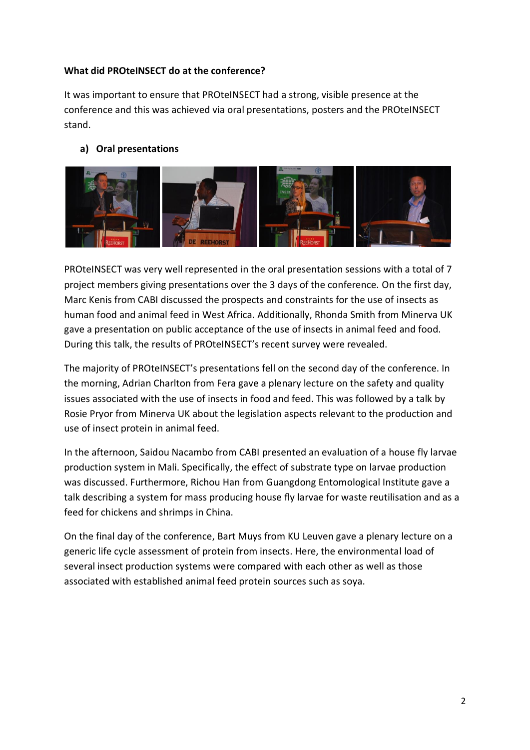## **What did PROteINSECT do at the conference?**

It was important to ensure that PROteINSECT had a strong, visible presence at the conference and this was achieved via oral presentations, posters and the PROteINSECT stand.

## **a) Oral presentations**



PROteINSECT was very well represented in the oral presentation sessions with a total of 7 project members giving presentations over the 3 days of the conference. On the first day, Marc Kenis from CABI discussed the prospects and constraints for the use of insects as human food and animal feed in West Africa. Additionally, Rhonda Smith from Minerva UK gave a presentation on public acceptance of the use of insects in animal feed and food. During this talk, the results of PROteINSECT's recent survey were revealed.

The majority of PROteINSECT's presentations fell on the second day of the conference. In the morning, Adrian Charlton from Fera gave a plenary lecture on the safety and quality issues associated with the use of insects in food and feed. This was followed by a talk by Rosie Pryor from Minerva UK about the legislation aspects relevant to the production and use of insect protein in animal feed.

In the afternoon, Saidou Nacambo from CABI presented an evaluation of a house fly larvae production system in Mali. Specifically, the effect of substrate type on larvae production was discussed. Furthermore, Richou Han from Guangdong Entomological Institute gave a talk describing a system for mass producing house fly larvae for waste reutilisation and as a feed for chickens and shrimps in China.

On the final day of the conference, Bart Muys from KU Leuven gave a plenary lecture on a generic life cycle assessment of protein from insects. Here, the environmental load of several insect production systems were compared with each other as well as those associated with established animal feed protein sources such as soya.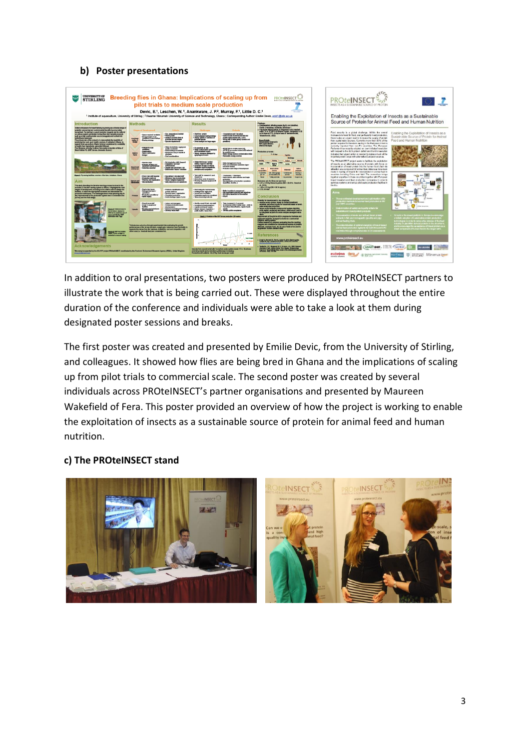#### **b) Poster presentations**



In addition to oral presentations, two posters were produced by PROteINSECT partners to illustrate the work that is being carried out. These were displayed throughout the entire duration of the conference and individuals were able to take a look at them during designated poster sessions and breaks.

The first poster was created and presented by Emilie Devic, from the University of Stirling, and colleagues. It showed how flies are being bred in Ghana and the implications of scaling up from pilot trials to commercial scale. The second poster was created by several individuals across PROteINSECT's partner organisations and presented by Maureen Wakefield of Fera. This poster provided an overview of how the project is working to enable the exploitation of insects as a sustainable source of protein for animal feed and human nutrition.

#### **c) The PROteINSECT stand**

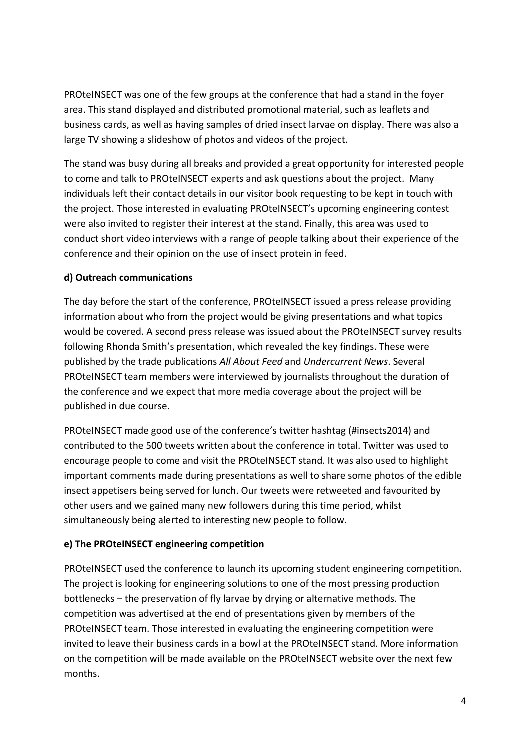PROteINSECT was one of the few groups at the conference that had a stand in the foyer area. This stand displayed and distributed promotional material, such as leaflets and business cards, as well as having samples of dried insect larvae on display. There was also a large TV showing a slideshow of photos and videos of the project.

The stand was busy during all breaks and provided a great opportunity for interested people to come and talk to PROteINSECT experts and ask questions about the project. Many individuals left their contact details in our visitor book requesting to be kept in touch with the project. Those interested in evaluating PROteINSECT's upcoming engineering contest were also invited to register their interest at the stand. Finally, this area was used to conduct short video interviews with a range of people talking about their experience of the conference and their opinion on the use of insect protein in feed.

# **d) Outreach communications**

The day before the start of the conference, PROteINSECT issued a press release providing information about who from the project would be giving presentations and what topics would be covered. A second press release was issued about the PROteINSECT survey results following Rhonda Smith's presentation, which revealed the key findings. These were published by the trade publications *All About Feed* and *Undercurrent News*. Several PROteINSECT team members were interviewed by journalists throughout the duration of the conference and we expect that more media coverage about the project will be published in due course.

PROteINSECT made good use of the conference's twitter hashtag (#insects2014) and contributed to the 500 tweets written about the conference in total. Twitter was used to encourage people to come and visit the PROteINSECT stand. It was also used to highlight important comments made during presentations as well to share some photos of the edible insect appetisers being served for lunch. Our tweets were retweeted and favourited by other users and we gained many new followers during this time period, whilst simultaneously being alerted to interesting new people to follow.

# **e) The PROteINSECT engineering competition**

PROteINSECT used the conference to launch its upcoming student engineering competition. The project is looking for engineering solutions to one of the most pressing production bottlenecks – the preservation of fly larvae by drying or alternative methods. The competition was advertised at the end of presentations given by members of the PROteINSECT team. Those interested in evaluating the engineering competition were invited to leave their business cards in a bowl at the PROteINSECT stand. More information on the competition will be made available on the PROteINSECT website over the next few months.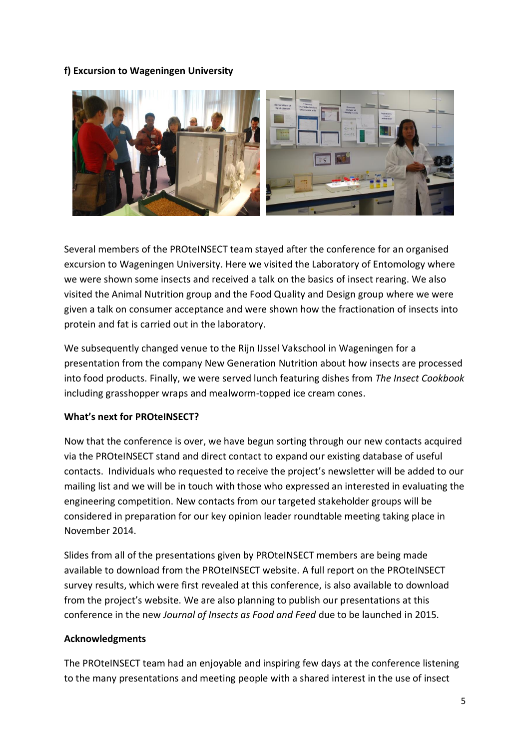# **f) Excursion to Wageningen University**



Several members of the PROteINSECT team stayed after the conference for an organised excursion to Wageningen University. Here we visited the Laboratory of Entomology where we were shown some insects and received a talk on the basics of insect rearing. We also visited the Animal Nutrition group and the Food Quality and Design group where we were given a talk on consumer acceptance and were shown how the fractionation of insects into protein and fat is carried out in the laboratory.

We subsequently changed venue to the Rijn IJssel Vakschool in Wageningen for a presentation from the company New Generation Nutrition about how insects are processed into food products. Finally, we were served lunch featuring dishes from *The Insect Cookbook*  including grasshopper wraps and mealworm-topped ice cream cones.

## **What's next for PROteINSECT?**

Now that the conference is over, we have begun sorting through our new contacts acquired via the PROteINSECT stand and direct contact to expand our existing database of useful contacts. Individuals who requested to receive the project's newsletter will be added to our mailing list and we will be in touch with those who expressed an interested in evaluating the engineering competition. New contacts from our targeted stakeholder groups will be considered in preparation for our key opinion leader roundtable meeting taking place in November 2014.

Slides from all of the presentations given by PROteINSECT members are being made available to download from the PROteINSECT website. A full report on the PROteINSECT survey results, which were first revealed at this conference, is also available to download from the project's website. We are also planning to publish our presentations at this conference in the new *Journal of Insects as Food and Feed* due to be launched in 2015.

## **Acknowledgments**

The PROteINSECT team had an enjoyable and inspiring few days at the conference listening to the many presentations and meeting people with a shared interest in the use of insect